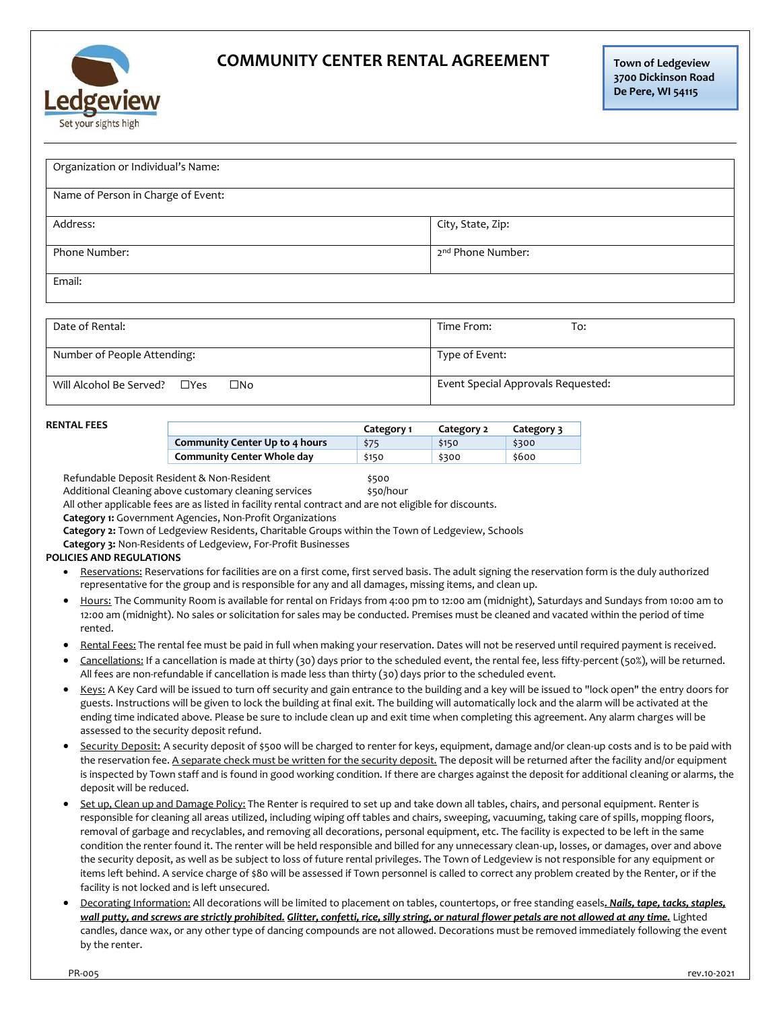

## **COMMUNITY CENTER RENTAL AGREEMENT**

| Organization or Individual's Name:<br>Name of Person in Charge of Event: |                                                                                                                                                                                                                                                                                                                                                                                                                                                                                                                                                                     |            |                                    |                |                                                                                                                                          |  |
|--------------------------------------------------------------------------|---------------------------------------------------------------------------------------------------------------------------------------------------------------------------------------------------------------------------------------------------------------------------------------------------------------------------------------------------------------------------------------------------------------------------------------------------------------------------------------------------------------------------------------------------------------------|------------|------------------------------------|----------------|------------------------------------------------------------------------------------------------------------------------------------------|--|
|                                                                          |                                                                                                                                                                                                                                                                                                                                                                                                                                                                                                                                                                     |            |                                    |                |                                                                                                                                          |  |
|                                                                          |                                                                                                                                                                                                                                                                                                                                                                                                                                                                                                                                                                     |            |                                    |                |                                                                                                                                          |  |
|                                                                          |                                                                                                                                                                                                                                                                                                                                                                                                                                                                                                                                                                     |            |                                    |                |                                                                                                                                          |  |
| Address:                                                                 |                                                                                                                                                                                                                                                                                                                                                                                                                                                                                                                                                                     |            | City, State, Zip:                  |                |                                                                                                                                          |  |
| Phone Number:                                                            |                                                                                                                                                                                                                                                                                                                                                                                                                                                                                                                                                                     |            | 2 <sup>nd</sup> Phone Number:      |                |                                                                                                                                          |  |
| Email:                                                                   |                                                                                                                                                                                                                                                                                                                                                                                                                                                                                                                                                                     |            |                                    |                |                                                                                                                                          |  |
|                                                                          |                                                                                                                                                                                                                                                                                                                                                                                                                                                                                                                                                                     |            |                                    |                |                                                                                                                                          |  |
| Date of Rental:                                                          |                                                                                                                                                                                                                                                                                                                                                                                                                                                                                                                                                                     |            | Time From:<br>To:                  |                |                                                                                                                                          |  |
| Number of People Attending:                                              |                                                                                                                                                                                                                                                                                                                                                                                                                                                                                                                                                                     |            |                                    | Type of Event: |                                                                                                                                          |  |
| $\square$ No<br>Will Alcohol Be Served?<br>$\Box$ Yes                    |                                                                                                                                                                                                                                                                                                                                                                                                                                                                                                                                                                     |            | Event Special Approvals Requested: |                |                                                                                                                                          |  |
| <b>RENTAL FEES</b>                                                       |                                                                                                                                                                                                                                                                                                                                                                                                                                                                                                                                                                     |            |                                    |                |                                                                                                                                          |  |
|                                                                          |                                                                                                                                                                                                                                                                                                                                                                                                                                                                                                                                                                     | Category 1 | Category 2                         | Category 3     |                                                                                                                                          |  |
|                                                                          | Community Center Up to 4 hours                                                                                                                                                                                                                                                                                                                                                                                                                                                                                                                                      | \$75       | \$150                              | \$300          |                                                                                                                                          |  |
|                                                                          | <b>Community Center Whole day</b>                                                                                                                                                                                                                                                                                                                                                                                                                                                                                                                                   | \$150      | \$300                              | \$600          |                                                                                                                                          |  |
| POLICIES AND REGULATIONS<br>$\bullet$<br>٠                               | Category 3: Non-Residents of Ledgeview, For-Profit Businesses<br>Reservations: Reservations for facilities are on a first come, first served basis. The adult signing the reservation form is the duly authorized<br>representative for the group and is responsible for any and all damages, missing items, and clean up.                                                                                                                                                                                                                                          |            |                                    |                |                                                                                                                                          |  |
|                                                                          | 12:00 am (midnight). No sales or solicitation for sales may be conducted. Premises must be cleaned and vacated within the period of time                                                                                                                                                                                                                                                                                                                                                                                                                            |            |                                    |                | Hours: The Community Room is available for rental on Fridays from 4:00 pm to 12:00 am (midnight), Saturdays and Sundays from 10:00 am to |  |
| rented.                                                                  | Rental Fees: The rental fee must be paid in full when making your reservation. Dates will not be reserved until required payment is received.<br>Cancellations: If a cancellation is made at thirty (30) days prior to the scheduled event, the rental fee, less fifty-percent (50%), will be returned.                                                                                                                                                                                                                                                             |            |                                    |                |                                                                                                                                          |  |
| ٠                                                                        | All fees are non-refundable if cancellation is made less than thirty (30) days prior to the scheduled event.<br>Keys: A Key Card will be issued to turn off security and gain entrance to the building and a key will be issued to "lock open" the entry doors for<br>guests. Instructions will be given to lock the building at final exit. The building will automatically lock and the alarm will be activated at the<br>ending time indicated above. Please be sure to include clean up and exit time when completing this agreement. Any alarm charges will be |            |                                    |                |                                                                                                                                          |  |
| ٠<br>deposit will be reduced.                                            | assessed to the security deposit refund.<br>Security Deposit: A security deposit of \$500 will be charged to renter for keys, equipment, damage and/or clean-up costs and is to be paid with<br>the reservation fee. A separate check must be written for the security deposit. The deposit will be returned after the facility and/or equipment<br>is inspected by Town staff and is found in good working condition. If there are charges against the deposit for additional cleaning or alarms, the                                                              |            |                                    |                |                                                                                                                                          |  |

*wall putty, and screws are strictly prohibited. Glitter, confetti, rice, silly string, or natural flower petals are not allowed at any time.* Lighted candles, dance wax, or any other type of dancing compounds are not allowed. Decorations must be removed immediately following the event by the renter.